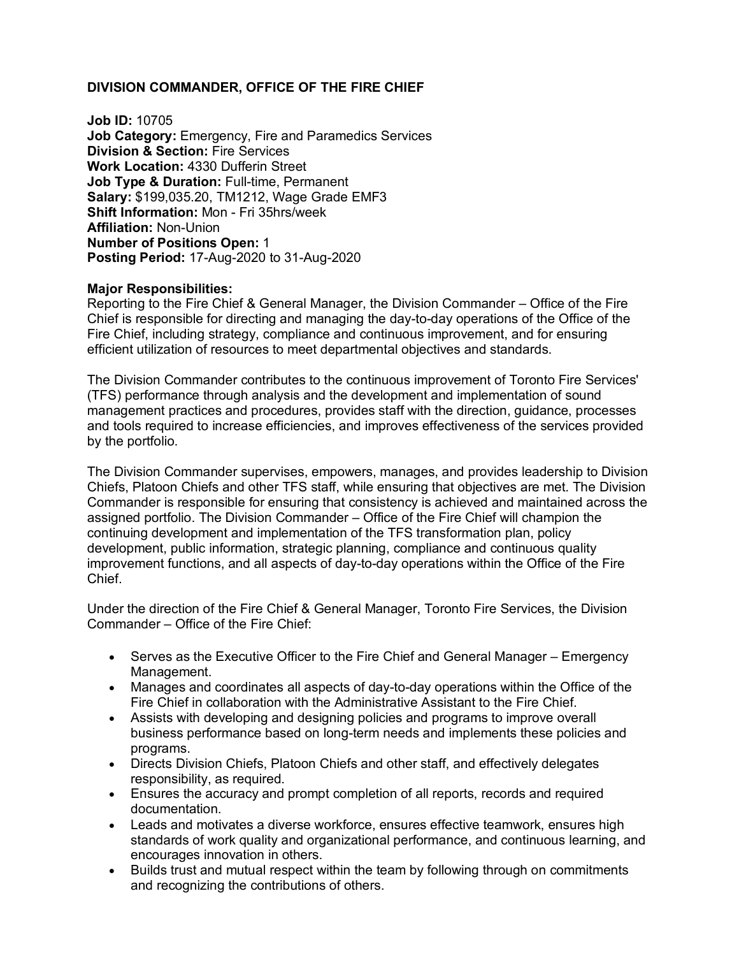# **DIVISION COMMANDER, OFFICE OF THE FIRE CHIEF**

**Job ID:** 10705 **Job Category:** Emergency, Fire and Paramedics Services **Division & Section:** Fire Services **Work Location:** 4330 Dufferin Street **Job Type & Duration:** Full-time, Permanent **Salary:** \$199,035.20, TM1212, Wage Grade EMF3 **Shift Information:** Mon - Fri 35hrs/week **Affiliation:** Non-Union **Number of Positions Open:** 1 **Posting Period:** 17-Aug-2020 to 31-Aug-2020

#### **Major Responsibilities:**

Reporting to the Fire Chief & General Manager, the Division Commander – Office of the Fire Chief is responsible for directing and managing the day-to-day operations of the Office of the Fire Chief, including strategy, compliance and continuous improvement, and for ensuring efficient utilization of resources to meet departmental objectives and standards.

The Division Commander contributes to the continuous improvement of Toronto Fire Services' (TFS) performance through analysis and the development and implementation of sound management practices and procedures, provides staff with the direction, guidance, processes and tools required to increase efficiencies, and improves effectiveness of the services provided by the portfolio.

The Division Commander supervises, empowers, manages, and provides leadership to Division Chiefs, Platoon Chiefs and other TFS staff, while ensuring that objectives are met. The Division Commander is responsible for ensuring that consistency is achieved and maintained across the assigned portfolio. The Division Commander – Office of the Fire Chief will champion the continuing development and implementation of the TFS transformation plan, policy development, public information, strategic planning, compliance and continuous quality improvement functions, and all aspects of day-to-day operations within the Office of the Fire Chief.

Under the direction of the Fire Chief & General Manager, Toronto Fire Services, the Division Commander – Office of the Fire Chief:

- Serves as the Executive Officer to the Fire Chief and General Manager Emergency Management.
- Manages and coordinates all aspects of day-to-day operations within the Office of the Fire Chief in collaboration with the Administrative Assistant to the Fire Chief.
- Assists with developing and designing policies and programs to improve overall business performance based on long-term needs and implements these policies and programs.
- Directs Division Chiefs, Platoon Chiefs and other staff, and effectively delegates responsibility, as required.
- Ensures the accuracy and prompt completion of all reports, records and required documentation.
- Leads and motivates a diverse workforce, ensures effective teamwork, ensures high standards of work quality and organizational performance, and continuous learning, and encourages innovation in others.
- Builds trust and mutual respect within the team by following through on commitments and recognizing the contributions of others.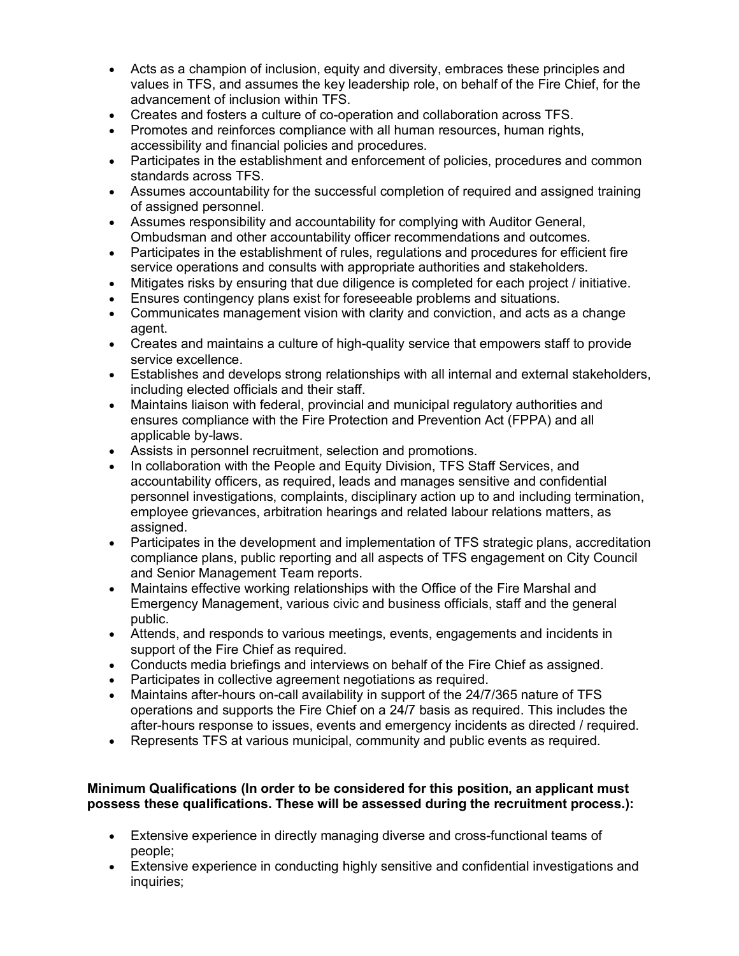- Acts as a champion of inclusion, equity and diversity, embraces these principles and values in TFS, and assumes the key leadership role, on behalf of the Fire Chief, for the advancement of inclusion within TFS.
- Creates and fosters a culture of co-operation and collaboration across TFS.
- Promotes and reinforces compliance with all human resources, human rights, accessibility and financial policies and procedures.
- Participates in the establishment and enforcement of policies, procedures and common standards across TFS.
- Assumes accountability for the successful completion of required and assigned training of assigned personnel.
- Assumes responsibility and accountability for complying with Auditor General, Ombudsman and other accountability officer recommendations and outcomes.
- Participates in the establishment of rules, regulations and procedures for efficient fire service operations and consults with appropriate authorities and stakeholders.
- Mitigates risks by ensuring that due diligence is completed for each project / initiative.
- Ensures contingency plans exist for foreseeable problems and situations.
- Communicates management vision with clarity and conviction, and acts as a change agent.
- Creates and maintains a culture of high-quality service that empowers staff to provide service excellence.
- Establishes and develops strong relationships with all internal and external stakeholders, including elected officials and their staff.
- Maintains liaison with federal, provincial and municipal regulatory authorities and ensures compliance with the Fire Protection and Prevention Act (FPPA) and all applicable by-laws.
- Assists in personnel recruitment, selection and promotions.
- In collaboration with the People and Equity Division, TFS Staff Services, and accountability officers, as required, leads and manages sensitive and confidential personnel investigations, complaints, disciplinary action up to and including termination, employee grievances, arbitration hearings and related labour relations matters, as assigned.
- Participates in the development and implementation of TFS strategic plans, accreditation compliance plans, public reporting and all aspects of TFS engagement on City Council and Senior Management Team reports.
- Maintains effective working relationships with the Office of the Fire Marshal and Emergency Management, various civic and business officials, staff and the general public.
- Attends, and responds to various meetings, events, engagements and incidents in support of the Fire Chief as required.
- Conducts media briefings and interviews on behalf of the Fire Chief as assigned.
- Participates in collective agreement negotiations as required.
- Maintains after-hours on-call availability in support of the 24/7/365 nature of TFS operations and supports the Fire Chief on a 24/7 basis as required. This includes the after-hours response to issues, events and emergency incidents as directed / required.
- Represents TFS at various municipal, community and public events as required.

### **Minimum Qualifications (In order to be considered for this position, an applicant must possess these qualifications. These will be assessed during the recruitment process.):**

- Extensive experience in directly managing diverse and cross-functional teams of people;
- Extensive experience in conducting highly sensitive and confidential investigations and inquiries;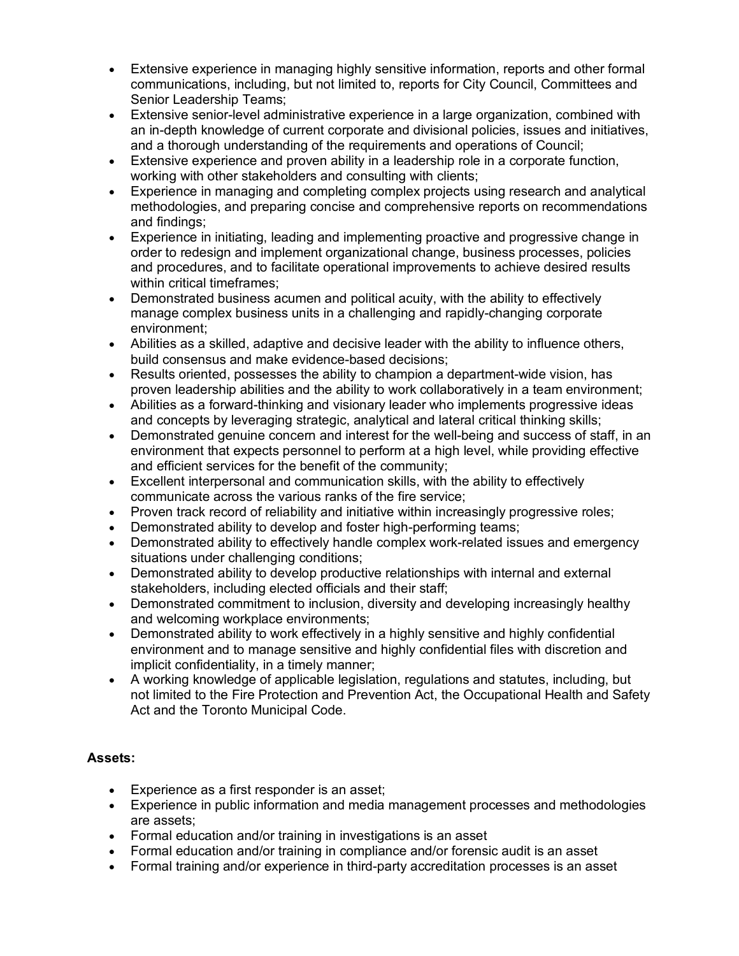- Extensive experience in managing highly sensitive information, reports and other formal communications, including, but not limited to, reports for City Council, Committees and Senior Leadership Teams;
- Extensive senior-level administrative experience in a large organization, combined with an in-depth knowledge of current corporate and divisional policies, issues and initiatives, and a thorough understanding of the requirements and operations of Council;
- Extensive experience and proven ability in a leadership role in a corporate function, working with other stakeholders and consulting with clients;
- Experience in managing and completing complex projects using research and analytical methodologies, and preparing concise and comprehensive reports on recommendations and findings;
- Experience in initiating, leading and implementing proactive and progressive change in order to redesign and implement organizational change, business processes, policies and procedures, and to facilitate operational improvements to achieve desired results within critical timeframes;
- Demonstrated business acumen and political acuity, with the ability to effectively manage complex business units in a challenging and rapidly-changing corporate environment;
- Abilities as a skilled, adaptive and decisive leader with the ability to influence others, build consensus and make evidence-based decisions;
- Results oriented, possesses the ability to champion a department-wide vision, has proven leadership abilities and the ability to work collaboratively in a team environment;
- Abilities as a forward-thinking and visionary leader who implements progressive ideas and concepts by leveraging strategic, analytical and lateral critical thinking skills;
- Demonstrated genuine concern and interest for the well-being and success of staff, in an environment that expects personnel to perform at a high level, while providing effective and efficient services for the benefit of the community;
- Excellent interpersonal and communication skills, with the ability to effectively communicate across the various ranks of the fire service;
- Proven track record of reliability and initiative within increasingly progressive roles;
- Demonstrated ability to develop and foster high-performing teams;
- Demonstrated ability to effectively handle complex work-related issues and emergency situations under challenging conditions;
- Demonstrated ability to develop productive relationships with internal and external stakeholders, including elected officials and their staff;
- Demonstrated commitment to inclusion, diversity and developing increasingly healthy and welcoming workplace environments;
- Demonstrated ability to work effectively in a highly sensitive and highly confidential environment and to manage sensitive and highly confidential files with discretion and implicit confidentiality, in a timely manner;
- A working knowledge of applicable legislation, regulations and statutes, including, but not limited to the Fire Protection and Prevention Act, the Occupational Health and Safety Act and the Toronto Municipal Code.

# **Assets:**

- Experience as a first responder is an asset;
- Experience in public information and media management processes and methodologies are assets;
- Formal education and/or training in investigations is an asset
- Formal education and/or training in compliance and/or forensic audit is an asset
- Formal training and/or experience in third-party accreditation processes is an asset